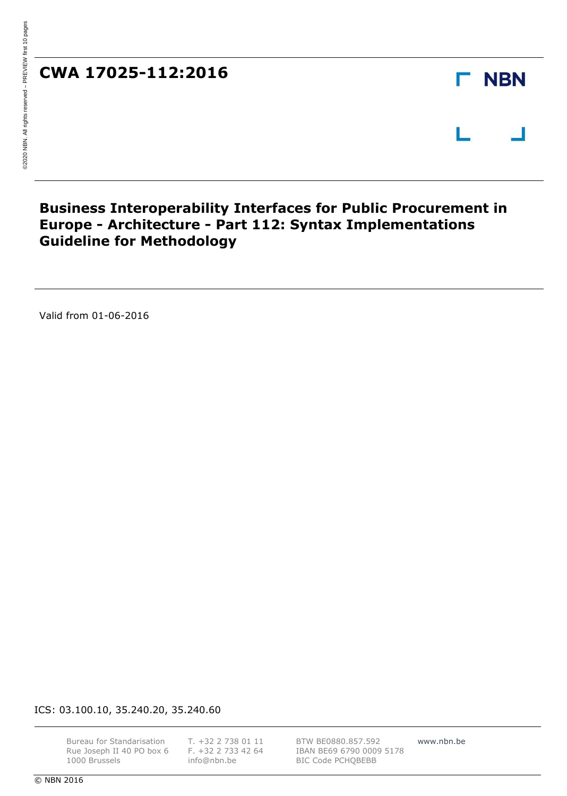### **CWA 17025-112:2016**

### **Business Interoperability Interfaces for Public Procurement in Europe - Architecture - Part 112: Syntax Implementations Guideline for Methodology**

Valid from 01-06-2016

ICS: 03.100.10, 35.240.20, 35.240.60

Bureau for Standarisation Rue Joseph II 40 PO box 6 1000 Brussels

T. +32 2 738 01 11 F. +32 2 733 42 64 [info@nbn.be](mailto:info@nbn.be)

BTW BE0880.857.592 IBAN BE69 6790 0009 5178 BIC Code PCHQBEBB

www.nbn.be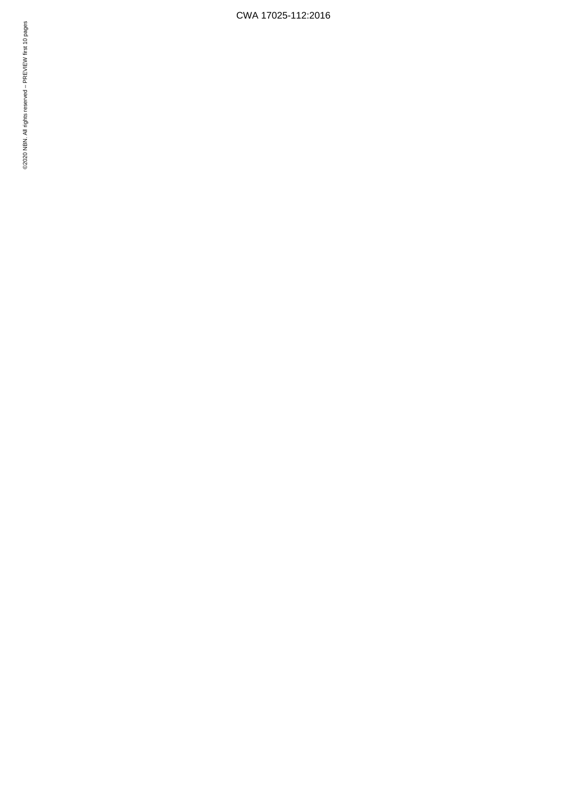CWA 17025-112:2016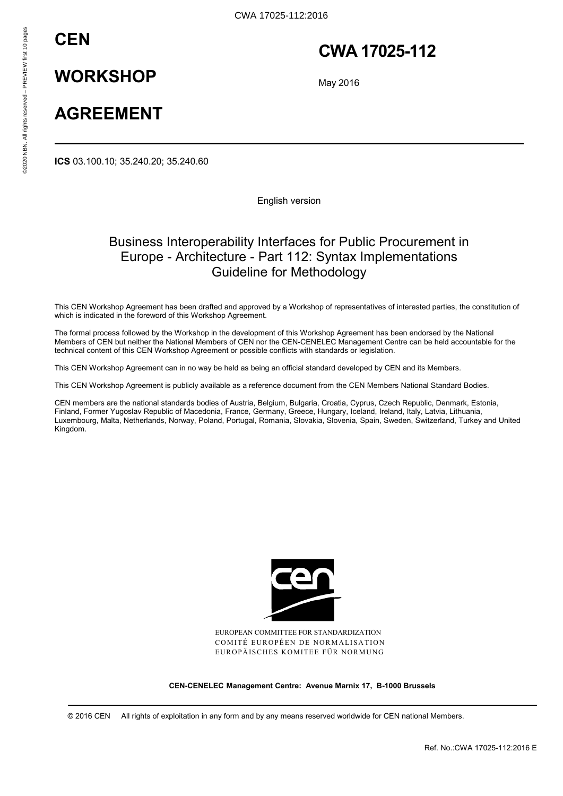## **CEN**

### **CWA 17025-112**

**WORKSHOP** 

May 2016

### **AGREEMENT**

**ICS** 03.100.10; 35.240.20; 35.240.60

English version

### Business Interoperability Interfaces for Public Procurement in Europe - Architecture - Part 112: Syntax Implementations Guideline for Methodology

This CEN Workshop Agreement has been drafted and approved by a Workshop of representatives of interested parties, the constitution of which is indicated in the foreword of this Workshop Agreement.

The formal process followed by the Workshop in the development of this Workshop Agreement has been endorsed by the National Members of CEN but neither the National Members of CEN nor the CEN-CENELEC Management Centre can be held accountable for the technical content of this CEN Workshop Agreement or possible conflicts with standards or legislation.

This CEN Workshop Agreement can in no way be held as being an official standard developed by CEN and its Members.

This CEN Workshop Agreement is publicly available as a reference document from the CEN Members National Standard Bodies.

CEN members are the national standards bodies of Austria, Belgium, Bulgaria, Croatia, Cyprus, Czech Republic, Denmark, Estonia, Finland, Former Yugoslav Republic of Macedonia, France, Germany, Greece, Hungary, Iceland, Ireland, Italy, Latvia, Lithuania, Luxembourg, Malta, Netherlands, Norway, Poland, Portugal, Romania, Slovakia, Slovenia, Spain, Sweden, Switzerland, Turkey and United Kingdom.



EUROPEAN COMMITTEE FOR STANDARDIZATION COMITÉ EUROPÉEN DE NORMALISATION EUROPÄISCHES KOMITEE FÜR NORMUNG

**CEN-CENELEC Management Centre: Avenue Marnix 17, B-1000 Brussels** 

© 2016 CEN All rights of exploitation in any form and by any means reserved worldwide for CEN national Members.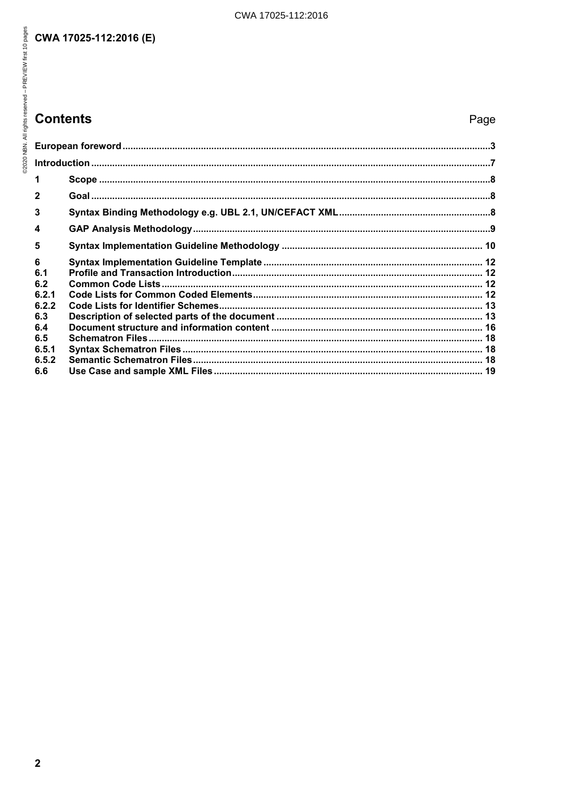### **Contents**

### Page

| $\mathbf{2}$ |  |
|--------------|--|
| 3            |  |
| 4            |  |
| 5            |  |
| 6            |  |
| 6.1          |  |
| 6.2          |  |
| 6.2.1        |  |
| 6.2.2        |  |
| 6.3          |  |
| 6.4          |  |
| 6.5          |  |
| 6.5.1        |  |
| 6.5.2        |  |
| 6.6          |  |
|              |  |

CWA 17025-112:2016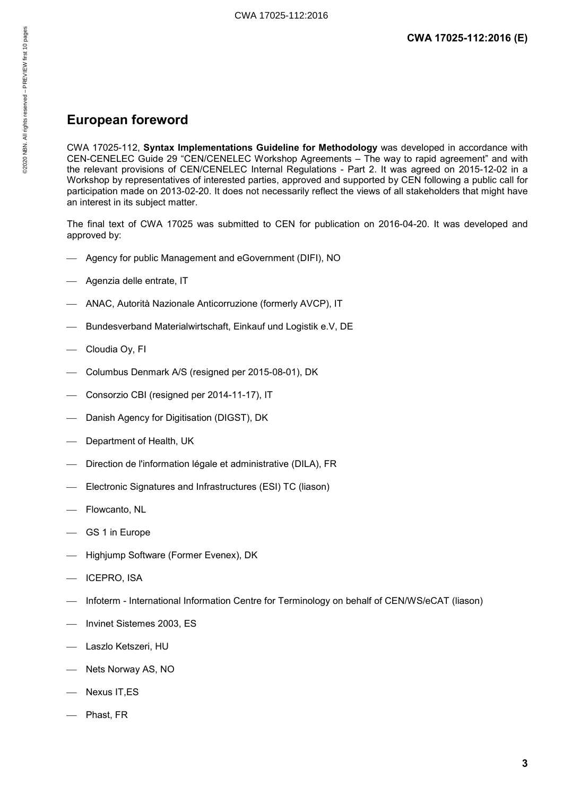# @2020 NBN. All rights reserved - PREVIEW first 10 pages ©2020 NBN. All rights reserved – PREVIEW first 10 pages

### **European foreword**

CWA 17025-112, **Syntax Implementations Guideline for Methodology** was developed in accordance with CEN-CENELEC Guide 29 "CEN/CENELEC Workshop Agreements – The way to rapid agreement" and with the relevant provisions of CEN/CENELEC Internal Regulations - Part 2. It was agreed on 2015-12-02 in a Workshop by representatives of interested parties, approved and supported by CEN following a public call for participation made on 2013-02-20. It does not necessarily reflect the views of all stakeholders that might have an interest in its subject matter.

The final text of CWA 17025 was submitted to CEN for publication on 2016-04-20. It was developed and approved by:

- Agency for public Management and eGovernment (DIFI), NO
- Agenzia delle entrate, IT
- ANAC, Autorità Nazionale Anticorruzione (formerly AVCP), IT
- Bundesverband Materialwirtschaft, Einkauf und Logistik e.V, DE
- Cloudia Oy, FI
- Columbus Denmark A/S (resigned per 2015-08-01), DK
- Consorzio CBI (resigned per 2014-11-17), IT
- Danish Agency for Digitisation (DIGST), DK
- Department of Health, UK
- Direction de l'information légale et administrative (DILA), FR
- Electronic Signatures and Infrastructures (ESI) TC (liason)
- Flowcanto, NL
- GS 1 in Europe
- Highjump Software (Former Evenex), DK
- $-$  ICEPRO, ISA
- Infoterm International Information Centre for Terminology on behalf of CEN/WS/eCAT (liason)
- Invinet Sistemes 2003, ES
- Laszlo Ketszeri, HU
- Nets Norway AS, NO
- Nexus IT.ES
- Phast, FR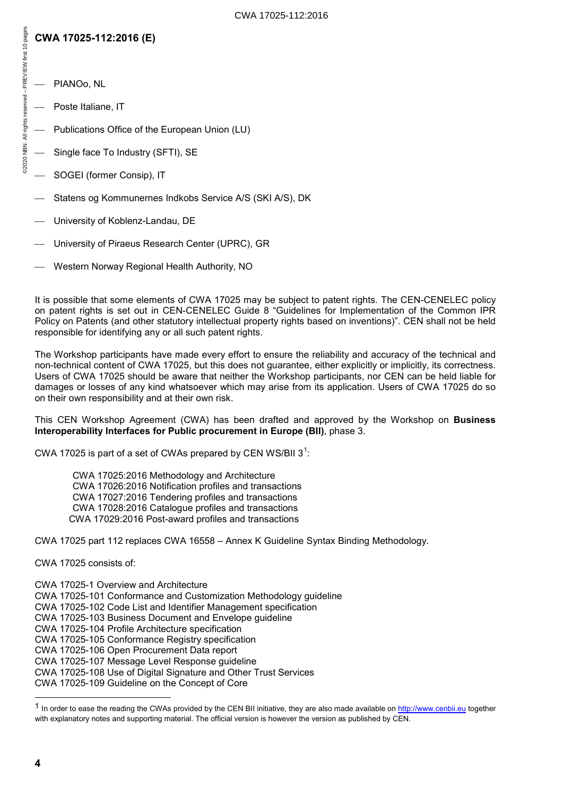- ©2020 NBN. All rights reserved PREVIEW first 10 pages©2020 NBN. All rights reserved - PREVIEW first 10 pages
	- PIANOo, NL Poste Italiane, IT
	- Publications Office of the European Union (LU)
	- Single face To Industry (SFTI), SE
	- SOGEI (former Consip), IT
	- Statens og Kommunernes Indkobs Service A/S (SKI A/S), DK
	- University of Koblenz-Landau, DE
	- University of Piraeus Research Center (UPRC), GR
	- Western Norway Regional Health Authority, NO

It is possible that some elements of CWA 17025 may be subject to patent rights. The CEN-CENELEC policy on patent rights is set out in CEN-CENELEC Guide 8 "Guidelines for Implementation of the Common IPR Policy on Patents (and other statutory intellectual property rights based on inventions)". CEN shall not be held responsible for identifying any or all such patent rights.

The Workshop participants have made every effort to ensure the reliability and accuracy of the technical and non-technical content of CWA 17025, but this does not guarantee, either explicitly or implicitly, its correctness. Users of CWA 17025 should be aware that neither the Workshop participants, nor CEN can be held liable for damages or losses of any kind whatsoever which may arise from its application. Users of CWA 17025 do so on their own responsibility and at their own risk.

This CEN Workshop Agreement (CWA) has been drafted and approved by the Workshop on **Business Interoperability Interfaces for Public procurement in Europe (BII)**, phase 3.

CWA [1](#page--1-12)7025 is part of a set of CWAs prepared by CEN WS/BII 3 $^1$ :

CWA 17025:2016 Methodology and Architecture CWA 17026:2016 Notification profiles and transactions CWA 17027:2016 Tendering profiles and transactions CWA 17028:2016 Catalogue profiles and transactions CWA 17029:2016 Post-award profiles and transactions

CWA 17025 part 112 replaces CWA 16558 – Annex K Guideline Syntax Binding Methodology.

CWA 17025 consists of:

CWA 17025-1 Overview and Architecture

CWA 17025-101 Conformance and Customization Methodology guideline

CWA 17025-102 Code List and Identifier Management specification

CWA 17025-103 Business Document and Envelope guideline

CWA 17025-104 Profile Architecture specification

CWA 17025-105 Conformance Registry specification

CWA 17025-106 Open Procurement Data report

CWA 17025-107 Message Level Response guideline

CWA 17025-109 Guideline on the Concept of Core

CWA 17025-108 Use of Digital Signature and Other Trust Services

 $1$  In order to ease the reading the CWAs provided by the CEN BII initiative, they are also made available on [http://www.cenbii.eu](http://www.cenbii.eu/) together with explanatory notes and supporting material. The official version is however the version as published by CEN.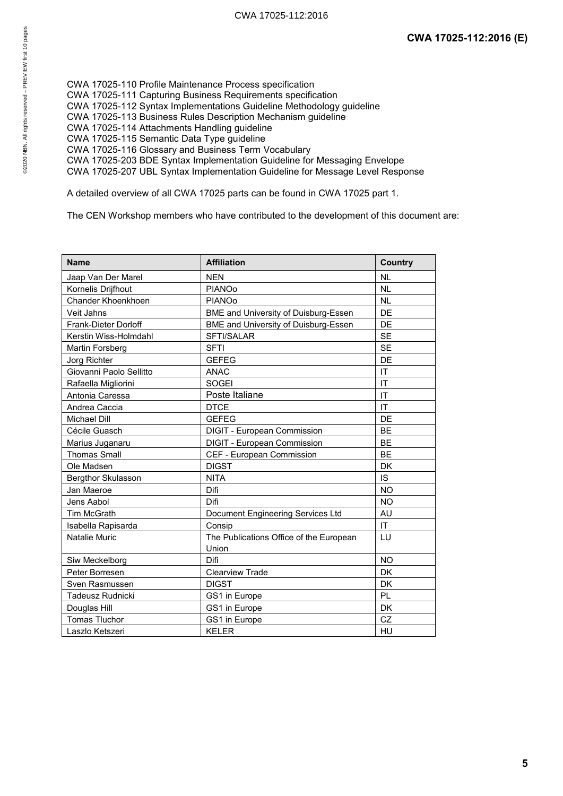CWA 17025-110 Profile Maintenance Process specification CWA 17025-111 Capturing Business Requirements specification CWA 17025-112 Syntax Implementations Guideline Methodology guideline CWA 17025-113 Business Rules Description Mechanism guideline CWA 17025-114 Attachments Handling guideline CWA 17025-115 Semantic Data Type guideline CWA 17025-116 Glossary and Business Term Vocabulary CWA 17025-203 BDE Syntax Implementation Guideline for Messaging Envelope CWA 17025-207 UBL Syntax Implementation Guideline for Message Level Response

A detailed overview of all CWA 17025 parts can be found in CWA 17025 part 1.

The CEN Workshop members who have contributed to the development of this document are:

| <b>Name</b>             | <b>Affiliation</b>                      | <b>Country</b> |
|-------------------------|-----------------------------------------|----------------|
| Jaap Van Der Marel      | <b>NEN</b>                              | <b>NL</b>      |
| Kornelis Drijfhout      | <b>PIANOo</b>                           | <b>NL</b>      |
| Chander Khoenkhoen      | <b>PIANOo</b>                           | <b>NL</b>      |
| Veit Jahns              | BME and University of Duisburg-Essen    | DE             |
| Frank-Dieter Dorloff    | BME and University of Duisburg-Essen    | DE             |
| Kerstin Wiss-Holmdahl   | <b>SFTI/SALAR</b>                       | <b>SE</b>      |
| Martin Forsberg         | <b>SFTI</b>                             | <b>SE</b>      |
| Jorg Richter            | <b>GEFEG</b>                            | DE             |
| Giovanni Paolo Sellitto | <b>ANAC</b>                             | IT             |
| Rafaella Migliorini     | <b>SOGEI</b>                            | IT             |
| Antonia Caressa         | Poste Italiane                          | IT             |
| Andrea Caccia           | <b>DTCE</b>                             | IT             |
| Michael Dill            | <b>GEFEG</b>                            | DF             |
| Cécile Guasch           | DIGIT - European Commission             | <b>BE</b>      |
| Marius Juganaru         | DIGIT - European Commission             | <b>BE</b>      |
| <b>Thomas Small</b>     | CEF - European Commission               | <b>BE</b>      |
| Ole Madsen              | <b>DIGST</b>                            | DK             |
| Bergthor Skulasson      | <b>NITA</b>                             | IS             |
| Jan Maeroe              | Difi                                    | <b>NO</b>      |
| Jens Aabol              | Difi                                    | <b>NO</b>      |
| <b>Tim McGrath</b>      | Document Engineering Services Ltd       | AU             |
| Isabella Rapisarda      | Consip                                  | IT             |
| Natalie Muric           | The Publications Office of the European | LU             |
|                         | Union                                   |                |
| Siw Meckelborg          | Difi                                    | <b>NO</b>      |
| Peter Borresen          | Clearview Trade                         | <b>DK</b>      |
| Sven Rasmussen          | <b>DIGST</b>                            | <b>DK</b>      |
| Tadeusz Rudnicki        | GS1 in Europe                           | PL             |
| Douglas Hill            | GS1 in Europe                           | <b>DK</b>      |
| <b>Tomas Tluchor</b>    | GS1 in Europe                           | CZ             |
| Laszlo Ketszeri         | <b>KELER</b>                            | HU             |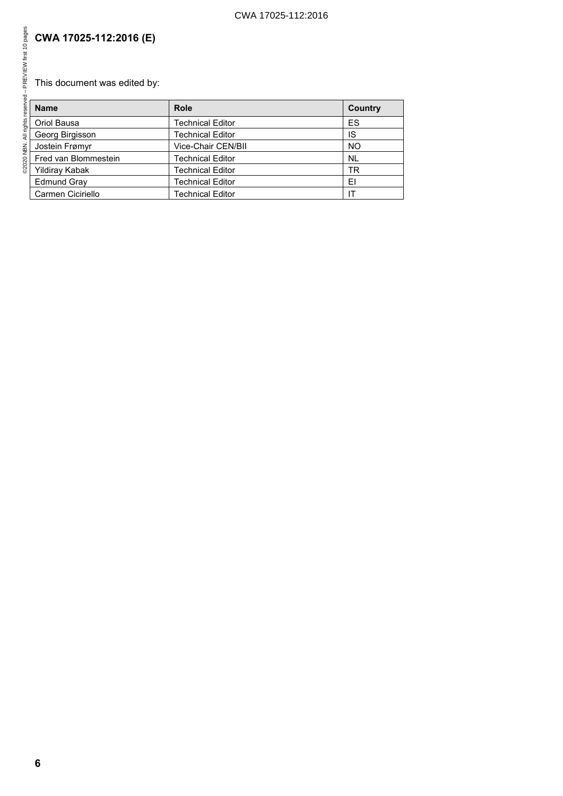This document was edited by:

| <b>Name</b>           | Role                      | Country   |
|-----------------------|---------------------------|-----------|
| Oriol Bausa           | <b>Technical Editor</b>   | <b>ES</b> |
| Georg Birgisson       | <b>Technical Editor</b>   | IS        |
| Jostein Frømyr        | <b>Vice-Chair CEN/BII</b> | <b>NO</b> |
| Fred van Blommestein  | <b>Technical Editor</b>   | <b>NL</b> |
| <b>Yildiray Kabak</b> | <b>Technical Editor</b>   | <b>TR</b> |
| <b>Edmund Gray</b>    | <b>Technical Editor</b>   | EI        |
| Carmen Ciciriello     | Technical Editor          |           |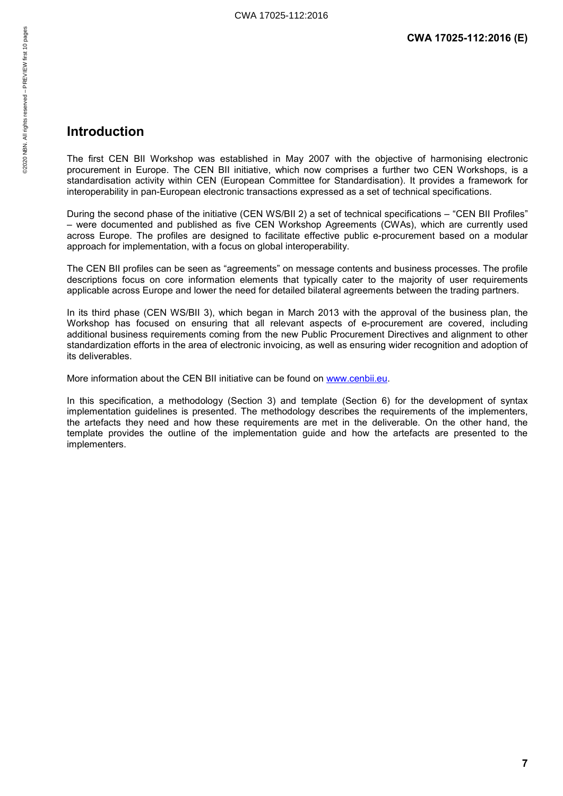# @2020 NBN. All rights reserved - PREVIEW first 10 pages ©2020 NBN. All rights reserved – PREVIEW first 10 pages

### **Introduction**

The first CEN BII Workshop was established in May 2007 with the objective of harmonising electronic procurement in Europe. The CEN BII initiative, which now comprises a further two CEN Workshops, is a standardisation activity within CEN (European Committee for Standardisation). It provides a framework for interoperability in pan-European electronic transactions expressed as a set of technical specifications.

During the second phase of the initiative (CEN WS/BII 2) a set of technical specifications – "CEN BII Profiles" – were documented and published as five CEN Workshop Agreements (CWAs), which are currently used across Europe. The profiles are designed to facilitate effective public e-procurement based on a modular approach for implementation, with a focus on global interoperability.

The CEN BII profiles can be seen as "agreements" on message contents and business processes. The profile descriptions focus on core information elements that typically cater to the majority of user requirements applicable across Europe and lower the need for detailed bilateral agreements between the trading partners.

In its third phase (CEN WS/BII 3), which began in March 2013 with the approval of the business plan, the Workshop has focused on ensuring that all relevant aspects of e-procurement are covered, including additional business requirements coming from the new Public Procurement Directives and alignment to other standardization efforts in the area of electronic invoicing, as well as ensuring wider recognition and adoption of its deliverables.

More information about the CEN BII initiative can be found on [www.cenbii.eu.](http://www.cenbii.eu/)

In this specification, a methodology (Section [3\)](#page--1-3) and template (Section [6\)](#page--1-1) for the development of syntax implementation guidelines is presented. The methodology describes the requirements of the implementers, the artefacts they need and how these requirements are met in the deliverable. On the other hand, the template provides the outline of the implementation guide and how the artefacts are presented to the implementers.